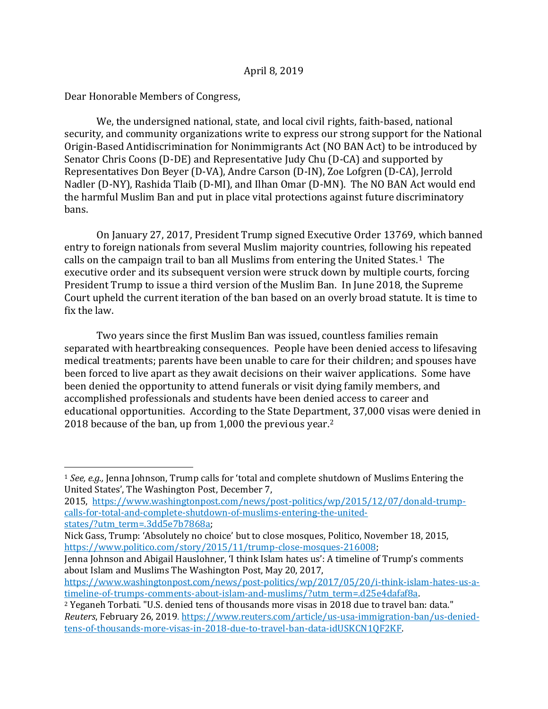Dear Honorable Members of Congress,

 $\overline{a}$ 

We, the undersigned national, state, and local civil rights, faith-based, national security, and community organizations write to express our strong support for the National Origin-Based Antidiscrimination for Nonimmigrants Act (NO BAN Act) to be introduced by Senator Chris Coons (D-DE) and Representative Judy Chu (D-CA) and supported by Representatives Don Beyer (D-VA), Andre Carson (D-IN), Zoe Lofgren (D-CA), Jerrold Nadler (D-NY), Rashida Tlaib (D-MI), and Ilhan Omar (D-MN). The NO BAN Act would end the harmful Muslim Ban and put in place vital protections against future discriminatory bans.

On January 27, 2017, President Trump signed Executive Order 13769, which banned entry to foreign nationals from several Muslim majority countries, following his repeated calls on the campaign trail to ban all Muslims from entering the United States.1 The executive order and its subsequent version were struck down by multiple courts, forcing President Trump to issue a third version of the Muslim Ban. In June 2018, the Supreme Court upheld the current iteration of the ban based on an overly broad statute. It is time to fix the law.

Two years since the first Muslim Ban was issued, countless families remain separated with heartbreaking consequences. People have been denied access to lifesaving medical treatments; parents have been unable to care for their children; and spouses have been forced to live apart as they await decisions on their waiver applications. Some have been denied the opportunity to attend funerals or visit dying family members, and accomplished professionals and students have been denied access to career and educational opportunities. According to the State Department, 37,000 visas were denied in 2018 because of the ban, up from 1,000 the previous year.<sup>2</sup>

<sup>1</sup> *See, e.g.,* Jenna Johnson, Trump calls for 'total and complete shutdown of Muslims Entering the United States', The Washington Post, December 7,

<sup>2015,</sup> [https://www.washingtonpost.com/news/post-politics/wp/2015/12/07/donald-trump](https://www.washingtonpost.com/news/post-politics/wp/2015/12/07/donald-trump-calls-for-total-and-complete-shutdown-of-muslims-entering-the-united-states/?utm_term=.3dd5e7b7868a)[calls-for-total-and-complete-shutdown-of-muslims-entering-the-united](https://www.washingtonpost.com/news/post-politics/wp/2015/12/07/donald-trump-calls-for-total-and-complete-shutdown-of-muslims-entering-the-united-states/?utm_term=.3dd5e7b7868a)[states/?utm\\_term=.3dd5e7b7868a;](https://www.washingtonpost.com/news/post-politics/wp/2015/12/07/donald-trump-calls-for-total-and-complete-shutdown-of-muslims-entering-the-united-states/?utm_term=.3dd5e7b7868a)

Nick Gass, Trump: 'Absolutely no choice' but to close mosques, Politico, November 18, 2015, [https://www.politico.com/story/2015/11/trump-close-mosques-216008;](https://www.politico.com/story/2015/11/trump-close-mosques-216008)

Jenna Johnson and Abigail Hauslohner, 'I think Islam hates us': A timeline of Trump's comments about Islam and Muslims The Washington Post, May 20, 2017,

[https://www.washingtonpost.com/news/post-politics/wp/2017/05/20/i-think-islam-hates-us-a](https://www.washingtonpost.com/news/post-politics/wp/2017/05/20/i-think-islam-hates-us-a-timeline-of-trumps-comments-about-islam-and-muslims/?utm_term=.d25e4dafaf8a)[timeline-of-trumps-comments-about-islam-and-muslims/?utm\\_term=.d25e4dafaf8a.](https://www.washingtonpost.com/news/post-politics/wp/2017/05/20/i-think-islam-hates-us-a-timeline-of-trumps-comments-about-islam-and-muslims/?utm_term=.d25e4dafaf8a)

<sup>&</sup>lt;sup>2</sup> Yeganeh Torbati. "U.S. denied tens of thousands more visas in 2018 due to travel ban: data." *Reuters*, February 26, 2019. [https://www.reuters.com/article/us-usa-immigration-ban/us-denied](https://www.reuters.com/article/us-usa-immigration-ban/us-denied-tens-of-thousands-more-visas-in-2018-due-to-travel-ban-data-idUSKCN1QF2KF)[tens-of-thousands-more-visas-in-2018-due-to-travel-ban-data-idUSKCN1QF2KF.](https://www.reuters.com/article/us-usa-immigration-ban/us-denied-tens-of-thousands-more-visas-in-2018-due-to-travel-ban-data-idUSKCN1QF2KF)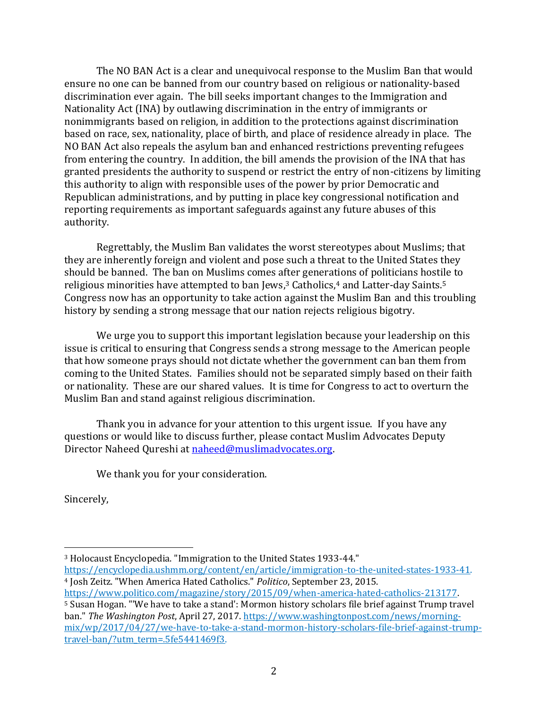The NO BAN Act is a clear and unequivocal response to the Muslim Ban that would ensure no one can be banned from our country based on religious or nationality-based discrimination ever again. The bill seeks important changes to the Immigration and Nationality Act (INA) by outlawing discrimination in the entry of immigrants or nonimmigrants based on religion, in addition to the protections against discrimination based on race, sex, nationality, place of birth, and place of residence already in place. The NO BAN Act also repeals the asylum ban and enhanced restrictions preventing refugees from entering the country. In addition, the bill amends the provision of the INA that has granted presidents the authority to suspend or restrict the entry of non-citizens by limiting this authority to align with responsible uses of the power by prior Democratic and Republican administrations, and by putting in place key congressional notification and reporting requirements as important safeguards against any future abuses of this authority.

Regrettably, the Muslim Ban validates the worst stereotypes about Muslims; that they are inherently foreign and violent and pose such a threat to the United States they should be banned. The ban on Muslims comes after generations of politicians hostile to religious minorities have attempted to ban Jews,<sup>3</sup> Catholics,<sup>4</sup> and Latter-day Saints.<sup>5</sup> Congress now has an opportunity to take action against the Muslim Ban and this troubling history by sending a strong message that our nation rejects religious bigotry.

We urge you to support this important legislation because your leadership on this issue is critical to ensuring that Congress sends a strong message to the American people that how someone prays should not dictate whether the government can ban them from coming to the United States. Families should not be separated simply based on their faith or nationality. These are our shared values. It is time for Congress to act to overturn the Muslim Ban and stand against religious discrimination.

Thank you in advance for your attention to this urgent issue. If you have any questions or would like to discuss further, please contact Muslim Advocates Deputy Director Naheed Qureshi at [naheed@muslimadvocates.org.](mailto:naheed@muslimadvocates.org)

We thank you for your consideration.

Sincerely,

 $\overline{a}$ 

<sup>3</sup> Holocaust Encyclopedia. "Immigration to the United States 1933-44." [https://encyclopedia.ushmm.org/content/en/article/immigration-to-the-united-states-1933-41.](https://encyclopedia.ushmm.org/content/en/article/immigration-to-the-united-states-1933-41) 

<sup>4</sup> Josh Zeitz. "When America Hated Catholics." *Politico*, September 23, 2015. [https://www.politico.com/magazine/story/2015/09/when-america-hated-catholics-213177.](https://www.politico.com/magazine/story/2015/09/when-america-hated-catholics-213177) 

<sup>5</sup> Susan Hogan. "'We have to take a stand': Mormon history scholars file brief against Trump travel ban." *The Washington Post*, April 27, 2017. [https://www.washingtonpost.com/news/morning](https://www.washingtonpost.com/news/morning-mix/wp/2017/04/27/we-have-to-take-a-stand-mormon-history-scholars-file-brief-against-trump-travel-ban/?utm_term=.5fe5441469f3)[mix/wp/2017/04/27/we-have-to-take-a-stand-mormon-history-scholars-file-brief-against-trump](https://www.washingtonpost.com/news/morning-mix/wp/2017/04/27/we-have-to-take-a-stand-mormon-history-scholars-file-brief-against-trump-travel-ban/?utm_term=.5fe5441469f3)[travel-ban/?utm\\_term=.5fe5441469f3.](https://www.washingtonpost.com/news/morning-mix/wp/2017/04/27/we-have-to-take-a-stand-mormon-history-scholars-file-brief-against-trump-travel-ban/?utm_term=.5fe5441469f3)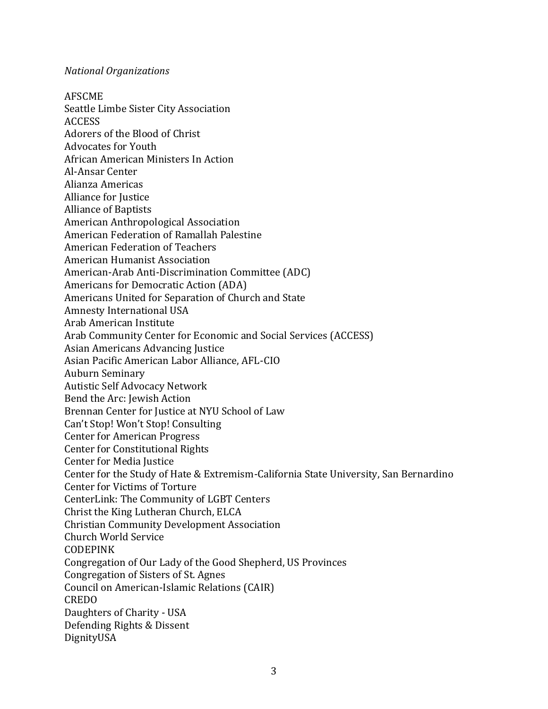## *National Organizations*

AFSCME Seattle Limbe Sister City Association ACCESS Adorers of the Blood of Christ Advocates for Youth African American Ministers In Action Al-Ansar Center Alianza Americas Alliance for Justice Alliance of Baptists American Anthropological Association American Federation of Ramallah Palestine American Federation of Teachers American Humanist Association American-Arab Anti-Discrimination Committee (ADC) Americans for Democratic Action (ADA) Americans United for Separation of Church and State Amnesty International USA Arab American Institute Arab Community Center for Economic and Social Services (ACCESS) Asian Americans Advancing Justice Asian Pacific American Labor Alliance, AFL-CIO Auburn Seminary Autistic Self Advocacy Network Bend the Arc: Jewish Action Brennan Center for Justice at NYU School of Law Can't Stop! Won't Stop! Consulting Center for American Progress Center for Constitutional Rights Center for Media Justice Center for the Study of Hate & Extremism-California State University, San Bernardino Center for Victims of Torture CenterLink: The Community of LGBT Centers Christ the King Lutheran Church, ELCA Christian Community Development Association Church World Service CODEPINK Congregation of Our Lady of the Good Shepherd, US Provinces Congregation of Sisters of St. Agnes Council on American-Islamic Relations (CAIR) CREDO Daughters of Charity - USA Defending Rights & Dissent DignityUSA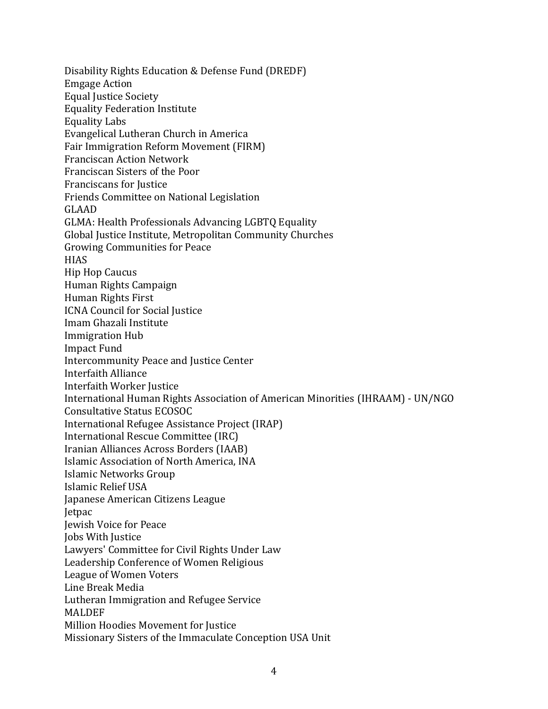Disability Rights Education & Defense Fund (DREDF) Emgage Action Equal Justice Society Equality Federation Institute Equality Labs Evangelical Lutheran Church in America Fair Immigration Reform Movement (FIRM) Franciscan Action Network Franciscan Sisters of the Poor Franciscans for Justice Friends Committee on National Legislation GLAAD GLMA: Health Professionals Advancing LGBTQ Equality Global Justice Institute, Metropolitan Community Churches Growing Communities for Peace **HIAS** Hip Hop Caucus Human Rights Campaign Human Rights First ICNA Council for Social Justice Imam Ghazali Institute Immigration Hub Impact Fund Intercommunity Peace and Justice Center Interfaith Alliance Interfaith Worker Justice International Human Rights Association of American Minorities (IHRAAM) - UN/NGO Consultative Status ECOSOC International Refugee Assistance Project (IRAP) International Rescue Committee (IRC) Iranian Alliances Across Borders (IAAB) Islamic Association of North America, INA Islamic Networks Group Islamic Relief USA Japanese American Citizens League Jetpac Jewish Voice for Peace Jobs With Justice Lawyers' Committee for Civil Rights Under Law Leadership Conference of Women Religious League of Women Voters Line Break Media Lutheran Immigration and Refugee Service **MALDEF** Million Hoodies Movement for Justice Missionary Sisters of the Immaculate Conception USA Unit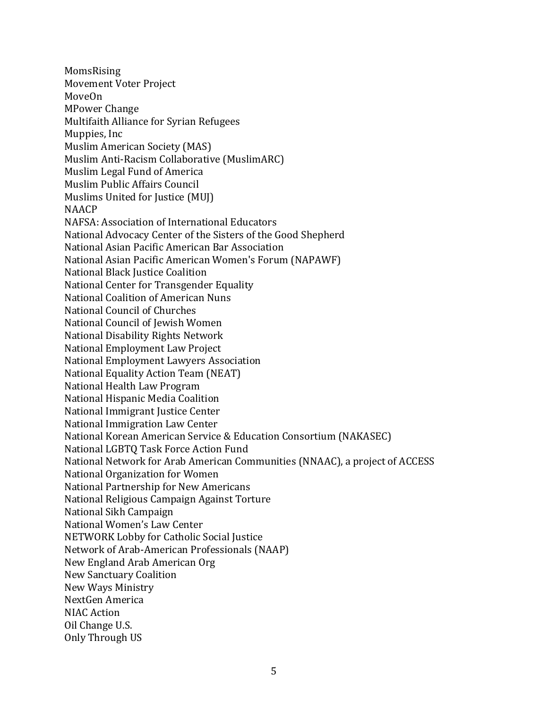MomsRising Movement Voter Project MoveOn MPower Change Multifaith Alliance for Syrian Refugees Muppies, Inc Muslim American Society (MAS) Muslim Anti-Racism Collaborative (MuslimARC) Muslim Legal Fund of America Muslim Public Affairs Council Muslims United for Justice (MUJ) NAACP NAFSA: Association of International Educators National Advocacy Center of the Sisters of the Good Shepherd National Asian Pacific American Bar Association National Asian Pacific American Women's Forum (NAPAWF) National Black Justice Coalition National Center for Transgender Equality National Coalition of American Nuns National Council of Churches National Council of Jewish Women National Disability Rights Network National Employment Law Project National Employment Lawyers Association National Equality Action Team (NEAT) National Health Law Program National Hispanic Media Coalition National Immigrant Justice Center National Immigration Law Center National Korean American Service & Education Consortium (NAKASEC) National LGBTQ Task Force Action Fund National Network for Arab American Communities (NNAAC), a project of ACCESS National Organization for Women National Partnership for New Americans National Religious Campaign Against Torture National Sikh Campaign National Women's Law Center NETWORK Lobby for Catholic Social Justice Network of Arab-American Professionals (NAAP) New England Arab American Org New Sanctuary Coalition New Ways Ministry NextGen America NIAC Action Oil Change U.S. Only Through US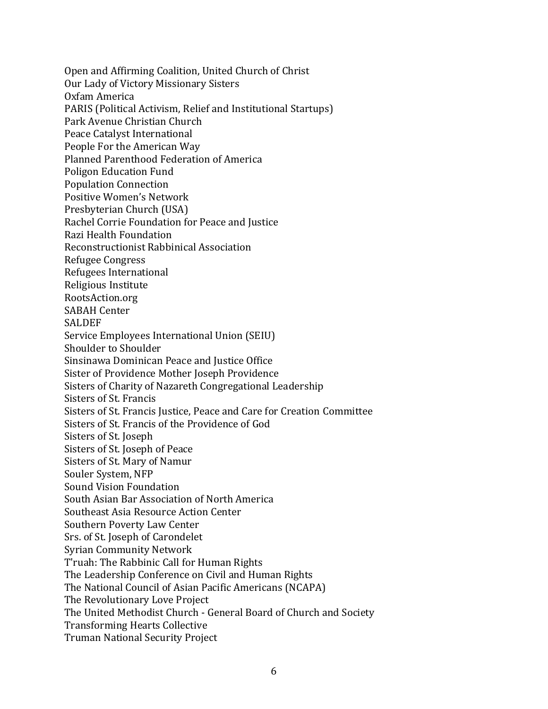Open and Affirming Coalition, United Church of Christ Our Lady of Victory Missionary Sisters Oxfam America PARIS (Political Activism, Relief and Institutional Startups) Park Avenue Christian Church Peace Catalyst International People For the American Way Planned Parenthood Federation of America Poligon Education Fund Population Connection Positive Women's Network Presbyterian Church (USA) Rachel Corrie Foundation for Peace and Justice Razi Health Foundation Reconstructionist Rabbinical Association Refugee Congress Refugees International Religious Institute RootsAction.org SABAH Center SALDEF Service Employees International Union (SEIU) Shoulder to Shoulder Sinsinawa Dominican Peace and Justice Office Sister of Providence Mother Joseph Providence Sisters of Charity of Nazareth Congregational Leadership Sisters of St. Francis Sisters of St. Francis Justice, Peace and Care for Creation Committee Sisters of St. Francis of the Providence of God Sisters of St. Joseph Sisters of St. Joseph of Peace Sisters of St. Mary of Namur Souler System, NFP Sound Vision Foundation South Asian Bar Association of North America Southeast Asia Resource Action Center Southern Poverty Law Center Srs. of St. Joseph of Carondelet Syrian Community Network T'ruah: The Rabbinic Call for Human Rights The Leadership Conference on Civil and Human Rights The National Council of Asian Pacific Americans (NCAPA) The Revolutionary Love Project The United Methodist Church - General Board of Church and Society Transforming Hearts Collective Truman National Security Project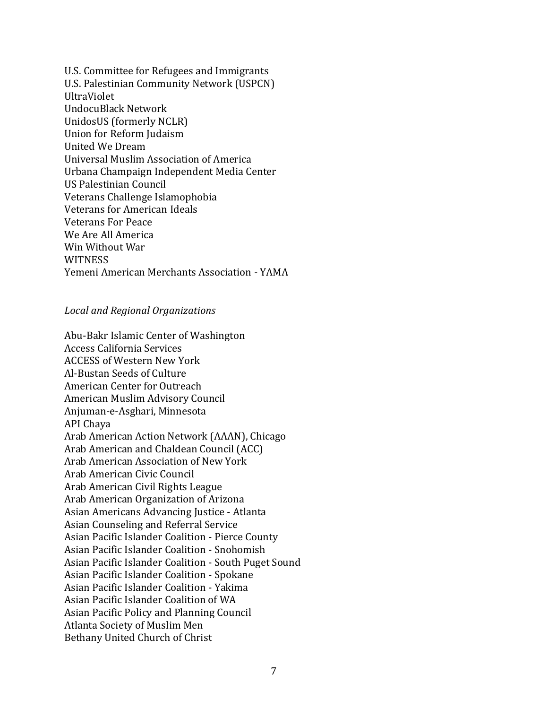U.S. Committee for Refugees and Immigrants U.S. Palestinian Community Network (USPCN) UltraViolet UndocuBlack Network UnidosUS (formerly NCLR) Union for Reform Judaism United We Dream Universal Muslim Association of America Urbana Champaign Independent Media Center US Palestinian Council Veterans Challenge Islamophobia Veterans for American Ideals Veterans For Peace We Are All America Win Without War **WITNESS** Yemeni American Merchants Association - YAMA

## *Local and Regional Organizations*

Abu-Bakr Islamic Center of Washington Access California Services ACCESS of Western New York Al-Bustan Seeds of Culture American Center for Outreach American Muslim Advisory Council Anjuman-e-Asghari, Minnesota API Chaya Arab American Action Network (AAAN), Chicago Arab American and Chaldean Council (ACC) Arab American Association of New York Arab American Civic Council Arab American Civil Rights League Arab American Organization of Arizona Asian Americans Advancing Justice - Atlanta Asian Counseling and Referral Service Asian Pacific Islander Coalition - Pierce County Asian Pacific Islander Coalition - Snohomish Asian Pacific Islander Coalition - South Puget Sound Asian Pacific Islander Coalition - Spokane Asian Pacific Islander Coalition - Yakima Asian Pacific Islander Coalition of WA Asian Pacific Policy and Planning Council Atlanta Society of Muslim Men Bethany United Church of Christ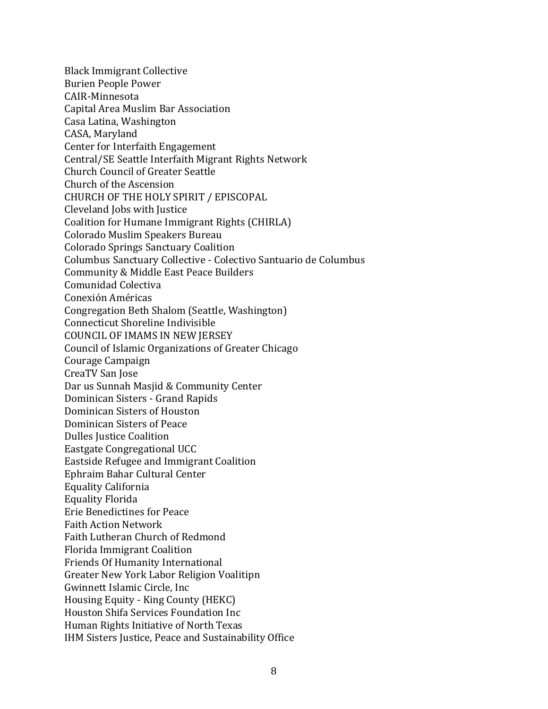Black Immigrant Collective Burien People Power CAIR-Minnesota Capital Area Muslim Bar Association Casa Latina, Washington CASA, Maryland Center for Interfaith Engagement Central/SE Seattle Interfaith Migrant Rights Network Church Council of Greater Seattle Church of the Ascension CHURCH OF THE HOLY SPIRIT / EPISCOPAL Cleveland Jobs with Justice Coalition for Humane Immigrant Rights (CHIRLA) Colorado Muslim Speakers Bureau Colorado Springs Sanctuary Coalition Columbus Sanctuary Collective - Colectivo Santuario de Columbus Community & Middle East Peace Builders Comunidad Colectiva Conexión Américas Congregation Beth Shalom (Seattle, Washington) Connecticut Shoreline Indivisible COUNCIL OF IMAMS IN NEW JERSEY Council of Islamic Organizations of Greater Chicago Courage Campaign CreaTV San Jose Dar us Sunnah Masjid & Community Center Dominican Sisters - Grand Rapids Dominican Sisters of Houston Dominican Sisters of Peace Dulles Justice Coalition Eastgate Congregational UCC Eastside Refugee and Immigrant Coalition Ephraim Bahar Cultural Center Equality California Equality Florida Erie Benedictines for Peace Faith Action Network Faith Lutheran Church of Redmond Florida Immigrant Coalition Friends Of Humanity International Greater New York Labor Religion Voalitipn Gwinnett Islamic Circle, Inc Housing Equity - King County (HEKC) Houston Shifa Services Foundation Inc Human Rights Initiative of North Texas IHM Sisters Justice, Peace and Sustainability Office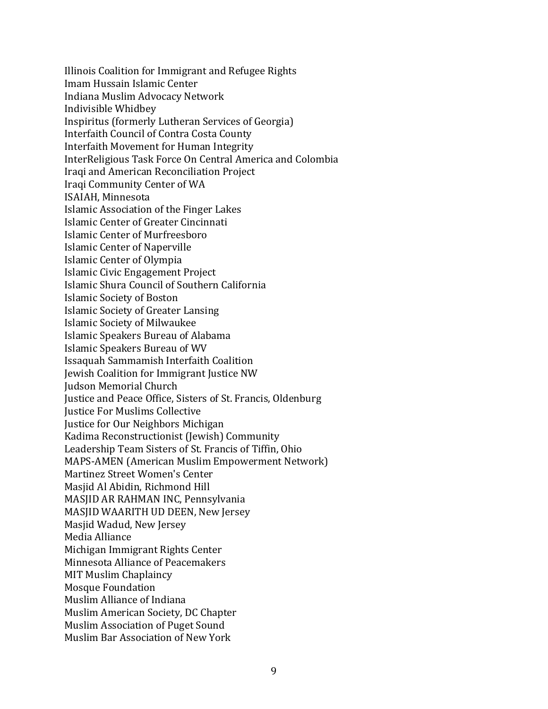Illinois Coalition for Immigrant and Refugee Rights Imam Hussain Islamic Center Indiana Muslim Advocacy Network Indivisible Whidbey Inspiritus (formerly Lutheran Services of Georgia) Interfaith Council of Contra Costa County Interfaith Movement for Human Integrity InterReligious Task Force On Central America and Colombia Iraqi and American Reconciliation Project Iraqi Community Center of WA ISAIAH, Minnesota Islamic Association of the Finger Lakes Islamic Center of Greater Cincinnati Islamic Center of Murfreesboro Islamic Center of Naperville Islamic Center of Olympia Islamic Civic Engagement Project Islamic Shura Council of Southern California Islamic Society of Boston Islamic Society of Greater Lansing Islamic Society of Milwaukee Islamic Speakers Bureau of Alabama Islamic Speakers Bureau of WV Issaquah Sammamish Interfaith Coalition Jewish Coalition for Immigrant Justice NW Judson Memorial Church Justice and Peace Office, Sisters of St. Francis, Oldenburg Justice For Muslims Collective Justice for Our Neighbors Michigan Kadima Reconstructionist (Jewish) Community Leadership Team Sisters of St. Francis of Tiffin, Ohio MAPS-AMEN (American Muslim Empowerment Network) Martinez Street Women's Center Masjid Al Abidin, Richmond Hill MASJID AR RAHMAN INC, Pennsylvania MASJID WAARITH UD DEEN, New Jersey Masjid Wadud, New Jersey Media Alliance Michigan Immigrant Rights Center Minnesota Alliance of Peacemakers MIT Muslim Chaplaincy Mosque Foundation Muslim Alliance of Indiana Muslim American Society, DC Chapter Muslim Association of Puget Sound Muslim Bar Association of New York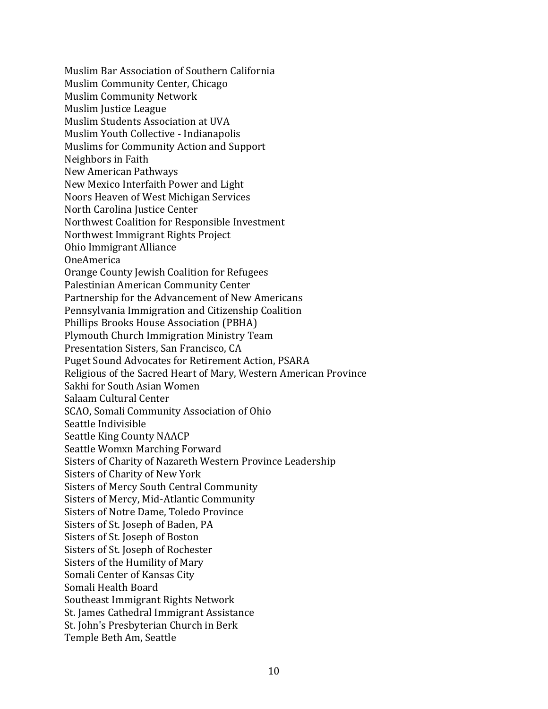Muslim Bar Association of Southern California Muslim Community Center, Chicago Muslim Community Network Muslim Justice League Muslim Students Association at UVA Muslim Youth Collective - Indianapolis Muslims for Community Action and Support Neighbors in Faith New American Pathways New Mexico Interfaith Power and Light Noors Heaven of West Michigan Services North Carolina Justice Center Northwest Coalition for Responsible Investment Northwest Immigrant Rights Project Ohio Immigrant Alliance OneAmerica Orange County Jewish Coalition for Refugees Palestinian American Community Center Partnership for the Advancement of New Americans Pennsylvania Immigration and Citizenship Coalition Phillips Brooks House Association (PBHA) Plymouth Church Immigration Ministry Team Presentation Sisters, San Francisco, CA Puget Sound Advocates for Retirement Action, PSARA Religious of the Sacred Heart of Mary, Western American Province Sakhi for South Asian Women Salaam Cultural Center SCAO, Somali Community Association of Ohio Seattle Indivisible Seattle King County NAACP Seattle Womxn Marching Forward Sisters of Charity of Nazareth Western Province Leadership Sisters of Charity of New York Sisters of Mercy South Central Community Sisters of Mercy, Mid-Atlantic Community Sisters of Notre Dame, Toledo Province Sisters of St. Joseph of Baden, PA Sisters of St. Joseph of Boston Sisters of St. Joseph of Rochester Sisters of the Humility of Mary Somali Center of Kansas City Somali Health Board Southeast Immigrant Rights Network St. James Cathedral Immigrant Assistance St. John's Presbyterian Church in Berk Temple Beth Am, Seattle